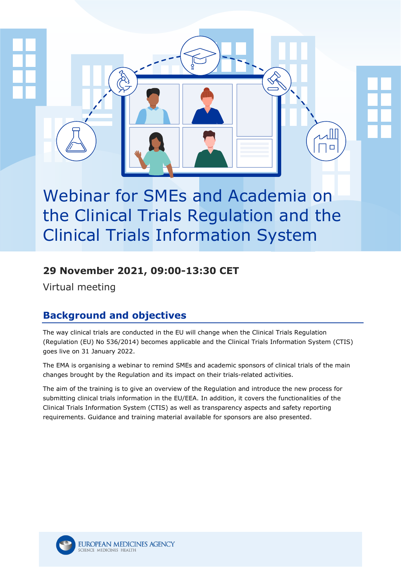# Webinar for SMEs and Academia on the Clinical Trials Regulation and the Clinical Trials Information System

#### **29 November 2021, 09:00-13:30 CET**

Virtual meeting

### **Background and objectives**

The way clinical trials are conducted in the EU will change when the Clinical Trials Regulation (Regulation (EU) No 536/2014) becomes applicable and the Clinical Trials Information System (CTIS) goes live on 31 January 2022.

The EMA is organising a webinar to remind SMEs and academic sponsors of clinical trials of the main changes brought by the Regulation and its impact on their trials-related activities.

The aim of the training is to give an overview of the Regulation and introduce the new process for submitting clinical trials information in the EU/EEA. In addition, it covers the functionalities of the Clinical Trials Information System (CTIS) as well as transparency aspects and safety reporting requirements. Guidance and training material available for sponsors are also presented.

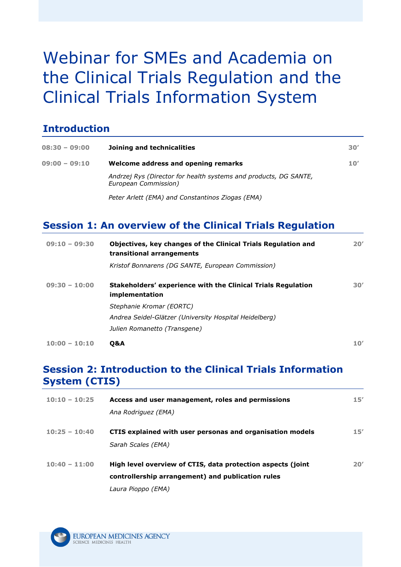# Webinar for SMEs and Academia on the Clinical Trials Regulation and the Clinical Trials Information System

#### **Introduction**

| $08:30 - 09:00$ | Joining and technicalities                                                               | 30' |
|-----------------|------------------------------------------------------------------------------------------|-----|
| $09:00 - 09:10$ | Welcome address and opening remarks                                                      | 10' |
|                 | Andrzej Rys (Director for health systems and products, DG SANTE,<br>European Commission) |     |
|                 | Peter Arlett (EMA) and Constantinos Ziogas (EMA)                                         |     |

#### **Session 1: An overview of the Clinical Trials Regulation**

| $09:10 - 09:30$ | Objectives, key changes of the Clinical Trials Regulation and<br>transitional arrangements | 20' |
|-----------------|--------------------------------------------------------------------------------------------|-----|
|                 | Kristof Bonnarens (DG SANTE, European Commission)                                          |     |
| $09:30 - 10:00$ | Stakeholders' experience with the Clinical Trials Regulation<br>implementation             | 30' |
|                 | Stephanie Kromar (EORTC)                                                                   |     |
|                 | Andrea Seidel-Glätzer (University Hospital Heidelberg)                                     |     |
|                 | Julien Romanetto (Transgene)                                                               |     |
| $10:00 - 10:10$ | <b>O&amp;A</b>                                                                             | 10' |

#### **Session 2: Introduction to the Clinical Trials Information System (CTIS)**

| $10:10 - 10:25$ | Access and user management, roles and permissions<br>Ana Rodriguez (EMA)                                         | 15' |
|-----------------|------------------------------------------------------------------------------------------------------------------|-----|
| $10:25 - 10:40$ | CTIS explained with user personas and organisation models                                                        | 15' |
|                 | Sarah Scales (EMA)                                                                                               |     |
| $10:40 - 11:00$ | High level overview of CTIS, data protection aspects (joint<br>controllership arrangement) and publication rules | 20′ |
|                 | Laura Pioppo (EMA)                                                                                               |     |

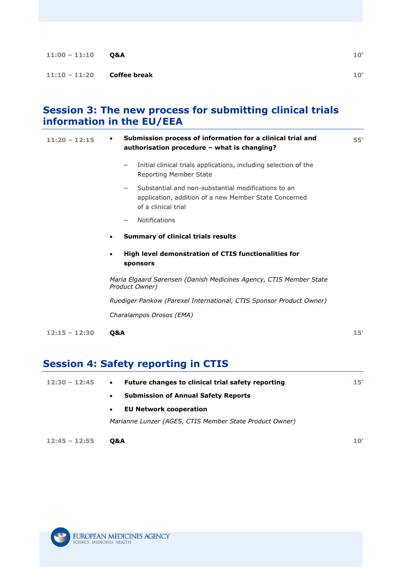| $11:00 - 11:10$              | Q&A | 10' |
|------------------------------|-----|-----|
| $11:10 - 11:20$ Coffee break |     | 10' |
|                              |     |     |

#### **Session 3: The new process for submitting clinical trials information in the EU/EEA**

| $11:20 - 12:15$ | Submission process of information for a clinical trial and<br>$\bullet$<br>authorisation procedure - what is changing?                   | 55' |
|-----------------|------------------------------------------------------------------------------------------------------------------------------------------|-----|
|                 | Initial clinical trials applications, including selection of the<br>$\qquad \qquad$<br>Reporting Member State                            |     |
|                 | Substantial and non-substantial modifications to an<br>—<br>application, addition of a new Member State Concerned<br>of a clinical trial |     |
|                 | <b>Notifications</b>                                                                                                                     |     |
|                 | <b>Summary of clinical trials results</b><br>$\bullet$                                                                                   |     |
|                 | High level demonstration of CTIS functionalities for<br>$\bullet$<br>sponsors                                                            |     |
|                 | Maria Elgaard Sørensen (Danish Medicines Agency, CTIS Member State<br>Product Owner)                                                     |     |
|                 | Ruediger Pankow (Parexel International, CTIS Sponsor Product Owner)                                                                      |     |
|                 | Charalampos Drosos (EMA)                                                                                                                 |     |
| $12:15 - 12:30$ | Q&A                                                                                                                                      | 15' |

## **Session 4: Safety reporting in CTIS**

| Future changes to clinical trial safety reporting<br>$\bullet$ | 15' |
|----------------------------------------------------------------|-----|
| <b>Submission of Annual Safety Reports</b><br>$\bullet$        |     |
| <b>EU Network cooperation</b><br>$\bullet$                     |     |
| Marianne Lunzer (AGES, CTIS Member State Product Owner)        |     |
|                                                                |     |